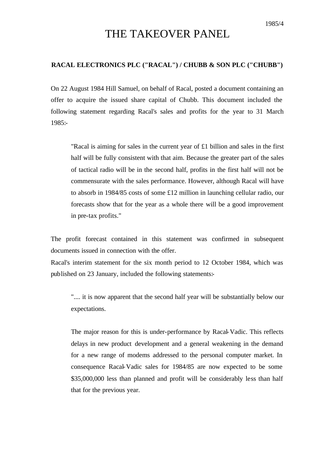## THE TAKEOVER PANEL

## **RACAL ELECTRONICS PLC ("RACAL") / CHUBB & SON PLC ("CHUBB")**

On 22 August 1984 Hill Samuel, on behalf of Racal, posted a document containing an offer to acquire the issued share capital of Chubb. This document included the following statement regarding Racal's sales and profits for the year to 31 March 1985:-

"Racal is aiming for sales in the current year of £1 billion and sales in the first half will be fully consistent with that aim. Because the greater part of the sales of tactical radio will be in the second half, profits in the first half will not be commensurate with the sales performance. However, although Racal will have to absorb in 1984/85 costs of some £12 million in launching cellular radio, our forecasts show that for the year as a whole there will be a good improvement in pre-tax profits."

The profit forecast contained in this statement was confirmed in subsequent documents issued in connection with the offer.

Racal's interim statement for the six month period to 12 October 1984, which was published on 23 January, included the following statements:-

".... it is now apparent that the second half year will be substantially below our expectations.

The major reason for this is under-performance by Racal-Vadic. This reflects delays in new product development and a general weakening in the demand for a new range of modems addressed to the personal computer market. In consequence Racal-Vadic sales for 1984/85 are now expected to be some \$35,000,000 less than planned and profit will be considerably less than half that for the previous year.